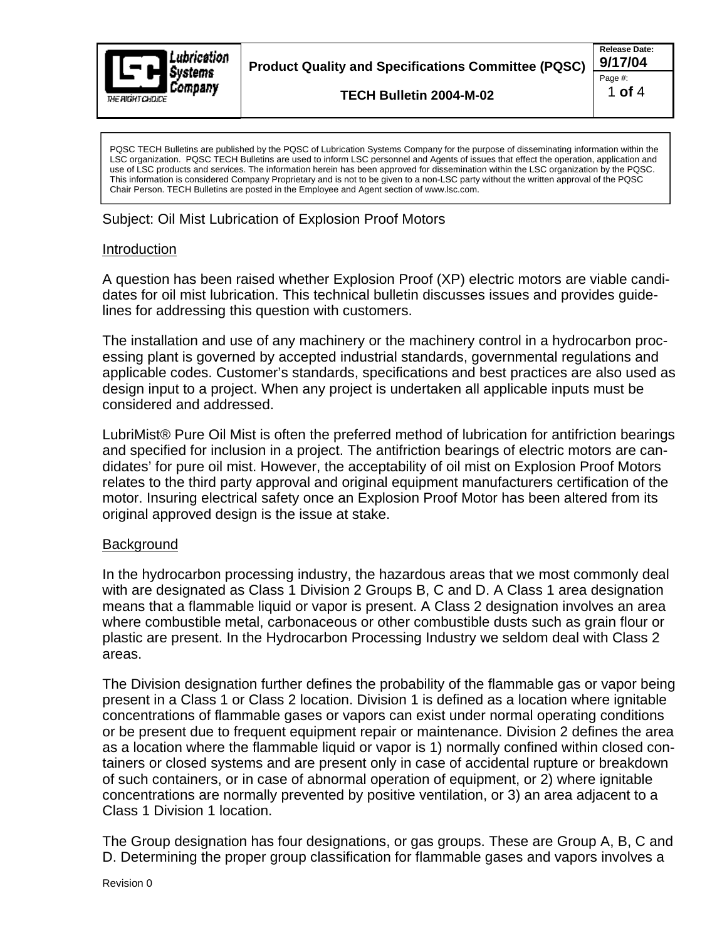

**Product Quality and Specifications Committee (PQSC) 9/17/04** 

**TECH Bulletin 2004-M-02**

**Release Date:** Page #:  $\qquad \qquad \blacksquare$ 1 **of** 4

PQSC TECH Bulletins are published by the PQSC of Lubrication Systems Company for the purpose of disseminating information within the LSC organization. PQSC TECH Bulletins are used to inform LSC personnel and Agents of issues that effect the operation, application and use of LSC products and services. The information herein has been approved for dissemination within the LSC organization by the PQSC. This information is considered Company Proprietary and is not to be given to a non-LSC party without the written approval of the PQSC Chair Person. TECH Bulletins are posted in the Employee and Agent section of www.lsc.com.

Subject: Oil Mist Lubrication of Explosion Proof Motors

## Introduction

A question has been raised whether Explosion Proof (XP) electric motors are viable candi dates for oil mist lubrication. This technical bulletin discusses issues and provides guidelines for addressing this question with customers.

The installation and use of any machinery or the machinery control in a hydrocarbon proc essing plant is governed by accepted industrial standards, governmental regulations and applicable codes. Customer's standards, specifications and best practices are also used as design input to a project. When any project is undertaken all applicable inputs must be considered and addressed.

LubriMist® Pure Oil Mist is often the preferred method of lubrication for antifriction bearings and specified for inclusion in a project. The antifriction bearings of electric motors are can didates' for pure oil mist. However, the acceptability of oil mist on Explosion Proof Motors relates to the third party approval and original equipment manufacturers certification of the motor. Insuring electrical safety once an Explosion Proof Motor has been altered from its original approved design is the issue at stake.

## **Background and Secretary Contract Contract Contract Contract Contract Contract Contract Contract Contract Contract Contract Contract Contract Contract Contract Contract Contract Contract Contract Contract Contract Contrac**

In the hydrocarbon processing industry, the hazardous areas that we most commonly deal with are designated as Class 1 Division 2 Groups B, C and D. A Class 1 area designation means that a flammable liquid or vapor is present. A Class 2 designation involves an area where combustible metal, carbonaceous or other combustible dusts such as grain flour or plastic are present. In the Hydrocarbon Processing Industry we seldom deal with Class 2 areas.

The Division designation further defines the probability of the flammable gas or vapor being present in a Class 1 or Class 2 location. Division 1 is defined as a location where ignitable concentrations of flammable gases or vapors can exist under normal operating conditions or be present due to frequent equipment repair or maintenance. Division 2 defines the area as a location where the flammable liquid or vapor is 1) normally confined within closed containers or closed systems and are present only in case of accidental rupture or breakdown of such containers, or in case of abnormal operation of equipment, or 2) where ignitable concentrations are normally prevented by positive ventilation, or 3) an area adjacent to a Class 1 Division 1 location.

The Group designation has four designations, or gas groups. These are Group A, B, C and D. Determining the proper group classification for flammable gases and vapors involves a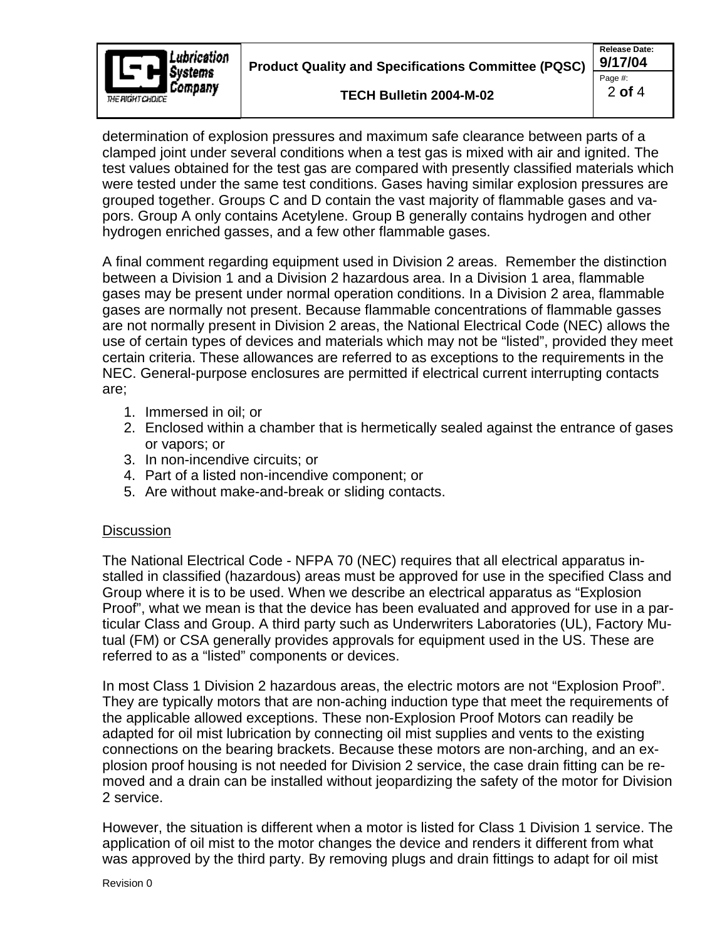

**Product Quality and Specifications Committee (PQSC)**  $\frac{9/17/04}{p_{\text{aqe\#}}}\$ 

**Release Date:** Page #:  $\qquad \qquad \blacksquare$ 2 **of** 4

determination of explosion pressures and maximum safe clearance between parts of a clamped joint under several conditions when a test gas is mixed with air and ignited. The test values obtained for the test gas are compared with presently classified materials which were tested under the same test conditions. Gases having similar explosion pressures are grouped together. Groups C and D contain the vast majority of flammable gases and va pors. Group A only contains Acetylene. Group B generally contains hydrogen and other hydrogen enriched gasses, and a few other flammable gases.

A final comment regarding equipment used in Division 2 areas. Remember the distinction between a Division 1 and a Division 2 hazardous area. In a Division 1 area, flammable gases may be present under normal operation conditions. In a Division 2 area, flammable gases are normally not present. Because flammable concentrations of flammable gasses are not normally present in Division 2 areas, the National Electrical Code (NEC) allows the use of certain types of devices and materials which may not be "listed", provided they meet certain criteria. These allowances are referred to as exceptions to the requirements in the NEC. General-purpose enclosures are permitted if electrical current interrupting contacts are;

- 1. Immersed in oil; or
- 2. Enclosed within a chamber that is hermetically sealed against the entrance of gases or vapors; or
- 3. In non-incendive circuits; or
- 4. Part of a listed non-incendive component; or
- 5. Are without make-and-break or sliding contacts.

## **Discussion Contract Contract Contract Contract Contract Contract Contract Contract Contract Contract Contract Contract Contract Contract Contract Contract Contract Contract Contract Contract Contract Contract Contract Con**

The National Electrical Code - NFPA 70 (NEC) requires that all electrical apparatus in stalled in classified (hazardous) areas must be approved for use in the specified Class and Group where it is to be used. When we describe an electrical apparatus as "Explosion Proof", what we mean is that the device has been evaluated and approved for use in a particular Class and Group. A third party such as Underwriters Laboratories (UL), Factory Mutual (FM) or CSA generally provides approvals for equipment used in the US. These are referred to as a "listed" components or devices.

In most Class 1 Division 2 hazardous areas, the electric motors are not "Explosion Proof". They are typically motors that are non-aching induction type that meet the requirements of the applicable allowed exceptions. These non-Explosion Proof Motors can readily be adapted for oil mist lubrication by connecting oil mist supplies and vents to the existing connections on the bearing brackets. Because these motors are non-arching, and an ex plosion proof housing is not needed for Division 2 service, the case drain fitting can be re moved and a drain can be installed without jeopardizing the safety of the motor for Division 2 service.

However, the situation is different when a motor is listed for Class 1 Division 1 service. The application of oil mist to the motor changes the device and renders it different from what was approved by the third party. By removing plugs and drain fittings to adapt for oil mist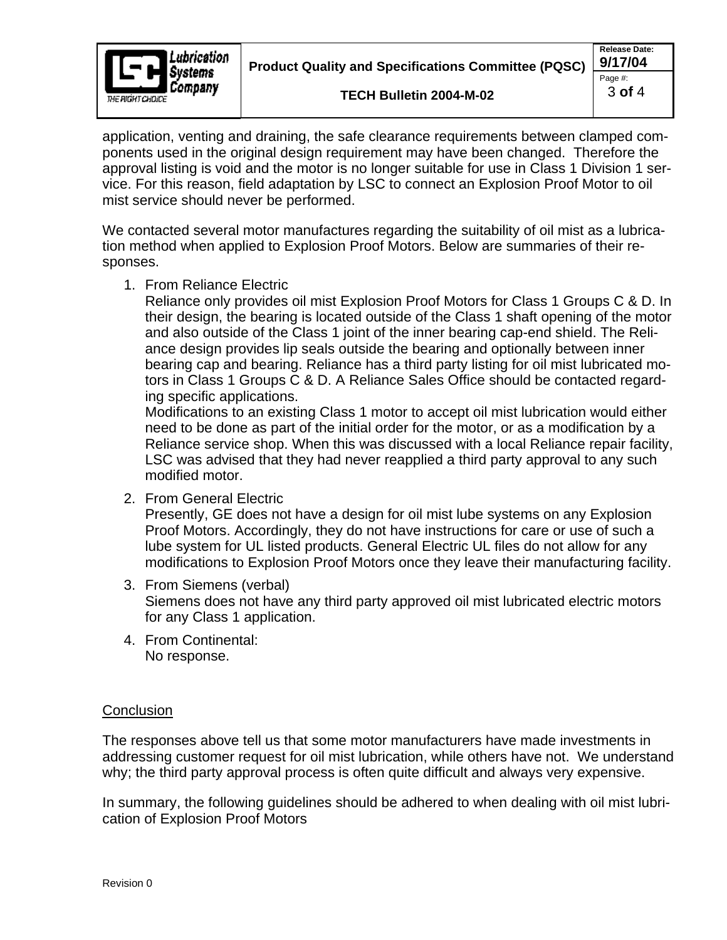

application, venting and draining, the safe clearance requirements between clamped com ponents used in the original design requirement may have been changed. Therefore the approval listing is void and the motor is no longer suitable for use in Class 1 Division 1 ser vice. For this reason, field adaptation by LSC to connect an Explosion Proof Motor to oil mist service should never be performed.

We contacted several motor manufactures regarding the suitability of oil mist as a lubrication method when applied to Explosion Proof Motors. Below are summaries of their re sponses. The contract of the contract of the contract of the contract of the contract of the contract of the contract of the contract of the contract of the contract of the contract of the contract of the contract of the c

1. From Reliance Electric

Reliance only provides oil mist Explosion Proof Motors for Class 1 Groups C & D. In their design, the bearing is located outside of the Class 1 shaft opening of the motor and also outside of the Class 1 joint of the inner bearing cap-end shield. The Reli ance design provides lip seals outside the bearing and optionally between inner bearing cap and bearing. Reliance has a third party listing for oil mist lubricated motors in Class 1 Groups C & D. A Reliance Sales Office should be contacted regarding specific applications.

Modifications to an existing Class 1 motor to accept oil mist lubrication would either need to be done as part of the initial order for the motor, or as a modification by a Reliance service shop. When this was discussed with a local Reliance repair facility, LSC was advised that they had never reapplied a third party approval to any such modified motor.

2. From General Electric

Presently, GE does not have a design for oil mist lube systems on any Explosion Proof Motors. Accordingly, they do not have instructions for care or use of such a lube system for UL listed products. General Electric UL files do not allow for any modifications to Explosion Proof Motors once they leave their manufacturing facility.

- 3. From Siemens (verbal) Siemens does not have any third party approved oil mist lubricated electric motors for any Class 1 application.
- 4. From Continental: No response.

## **Conclusion Conclusion Conclusion Conclusion**

The responses above tell us that some motor manufacturershave made investments in addressing customer request for oil mist lubrication, while others have not. We understand why; the third party approval process is often quite difficult and always very expensive.

In summary, the following guidelines should be adhered to when dealing with oil mist lubri cation of Explosion Proof Motors